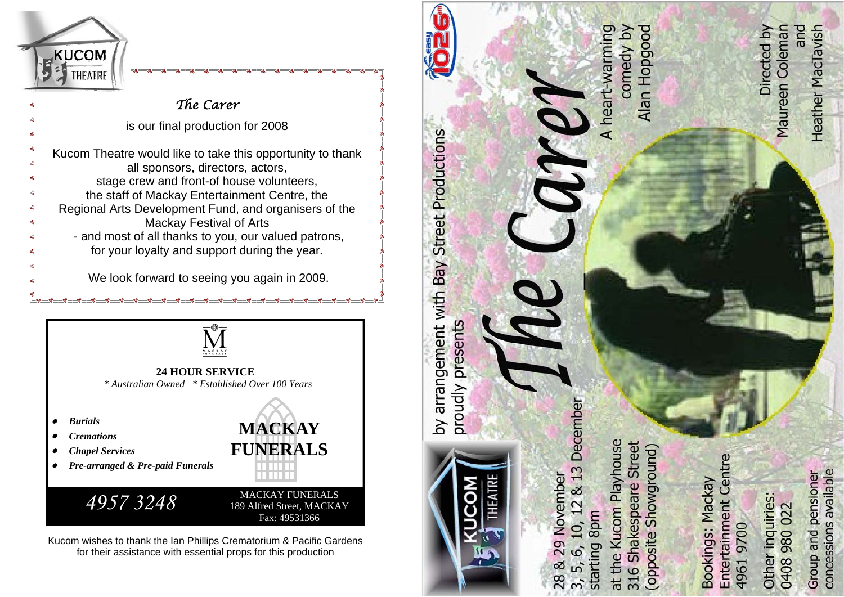

# *The Carer*

is our final production for 2008

Kucom Theatre would like to take this opportunity to thank all sponsors, directors, actors, stage crew and front-of house volunteers, the staff of Mackay Entertainment Centre, the Regional Arts Development Fund, and organisers of the Mackay Festival of Arts - and most of all thanks to you, our valued patrons, for your loyalty and support during the year.

We look forward to seeing you again in 2009.

<u> എ. എ. എ. എ. എ. എ. എ. എ. എ. എ. എ. എ. </u>



 *\* Australian Owned \* Established Over 100 Years* 

- *Burials*
- *Cremations*
- *Chapel Services*
- *Pre-arranged & Pre-paid Funerals*



**MACKAY FUNERALS**



Kucom wishes to thank the Ian Phillips Crematorium & Pacific Gardens for their assistance with essential props for this production



5, 6, 10,

 $\overline{3}$ 

concessions available Group and pensioner

49619700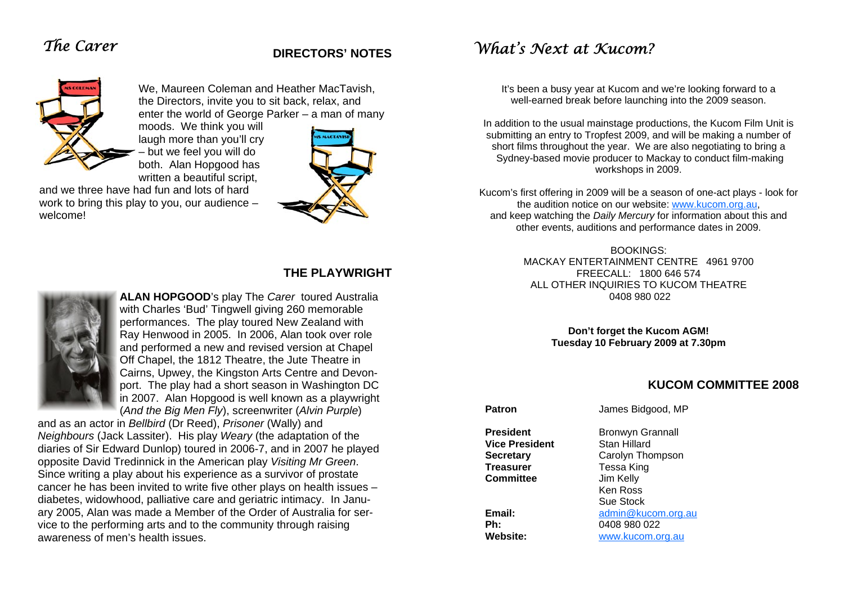# *The Carer*

## **DIRECTORS' NOTES**



We, Maureen Coleman and Heather MacTavish, the Directors, invite you to sit back, relax, and enter the world of George Parker – a man of many

moods. We think you will laugh more than you'll cry – but we feel you will do both. Alan Hopgood has written a beautiful script,

and we three have had fun and lots of hard work to bring this play to you, our audience – welcome!



## **THE PLAYWRIGHT**



**ALAN HOPGOOD**'s play The *Carer* toured Australia with Charles 'Bud' Tingwell giving 260 memorable performances. The play toured New Zealand with Ray Henwood in 2005. In 2006, Alan took over role and performed a new and revised version at Chapel Off Chapel, the 1812 Theatre, the Jute Theatre in Cairns, Upwey, the Kingston Arts Centre and Devonport. The play had a short season in Washington DC in 2007. Alan Hopgood is well known as a playwright (*And the Big Men Fly*), screenwriter (*Alvin Purple*)

and as an actor in *Bellbird* (Dr Reed), *Prisoner* (Wally) and *Neighbours* (Jack Lassiter). His play *Weary* (the adaptation of the diaries of Sir Edward Dunlop) toured in 2006-7, and in 2007 he played opposite David Tredinnick in the American play *Visiting Mr Green*. Since writing a play about his experience as a survivor of prostate cancer he has been invited to write five other plays on health issues – diabetes, widowhood, palliative care and geriatric intimacy. In January 2005, Alan was made a Member of the Order of Australia for service to the performing arts and to the community through raising awareness of men's health issues.

# *What's Next at Kucom?*

It's been a busy year at Kucom and we're looking forward to a well-earned break before launching into the 2009 season.

In addition to the usual mainstage productions, the Kucom Film Unit is submitting an entry to Tropfest 2009, and will be making a number of short films throughout the year. We are also negotiating to bring a Sydney-based movie producer to Mackay to conduct film-making workshops in 2009.

Kucom's first offering in 2009 will be a season of one-act plays - look for the audition notice on our website: www.kucom.org.au, and keep watching the *Daily Mercury* for information about this and other events, auditions and performance dates in 2009.

> BOOKINGS: MACKAY ENTERTAINMENT CENTRE 4961 9700 FREECALL: 1800 646 574 ALL OTHER INQUIRIES TO KUCOM THEATRE 0408 980 022

> > **Don't forget the Kucom AGM! Tuesday 10 February 2009 at 7.30pm**

### **KUCOM COMMITTEE 2008**

**Vice President** Stan Hillard **Treasurer** Tessa King **Committee** Jim Kelly

**Patron James Bidgood, MP** 

**President** Bronwyn Grannall **Secretary** Carolyn Thompson **Ken Ross Ken** Ross Sue Stock **Email:** admin@kucom.org.au **Ph:** 0408 980 022 **Website:** www.kucom.org.au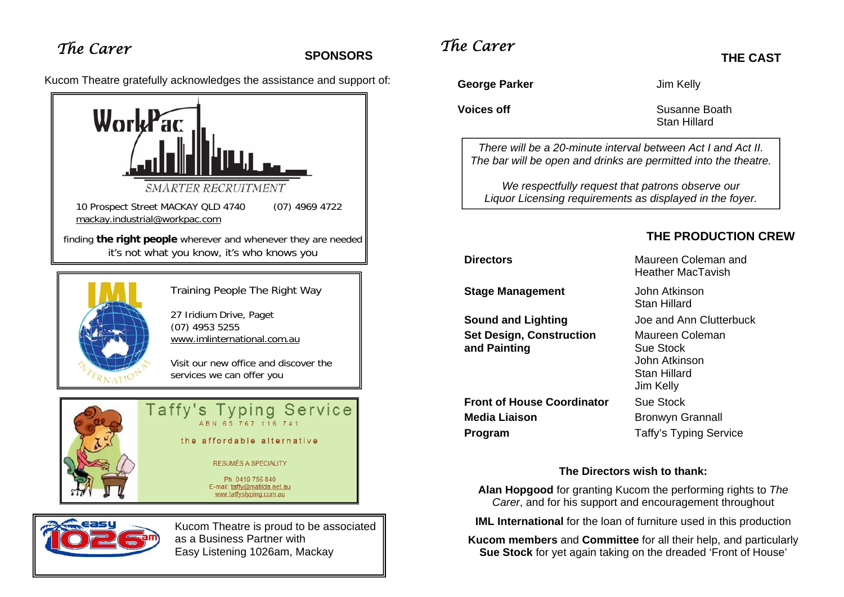# **SPONSORS**

Kucom Theatre gratefully acknowledges the assistance and support of:





Training People The Right Way

27 Iridium Drive, Paget (07) 4953 5255 www.imlinternational.com.au

Visit our new office and discover the services we can offer you





Kucom Theatre is proud to be associated as a Business Partner with Easy Listening 1026am, Mackay

# *The Carer The Carer*

George Parker **Contact Selling Contact Act IV** Jim Kelly

**Voices off** Susanne Boath Stan Hillard

*There will be a 20-minute interval between Act I and Act II. The bar will be open and drinks are permitted into the theatre.* 

*We respectfully request that patrons observe our Liquor Licensing requirements as displayed in the foyer.* 

## **THE PRODUCTION CREW**

**THE CAST** 

**Stage Management John Atkinson** 

**Sound and Lighting <b>Sound and Lighting** Joe and Ann Clutterbuck **Set Design, Construction Maureen Coleman and Painting Exercise Sue Stock** 

**Front of House Coordinator** Sue Stock **Media Liaison Bronwyn Grannall Program** Taffy's Typing Service

**Directors** Maureen Coleman and Heather MacTavish

Stan Hillard

 John Atkinson Stan Hillard Jim Kelly

### **The Directors wish to thank:**

**Alan Hopgood** for granting Kucom the performing rights to *The Carer*, and for his support and encouragement throughout

**IML International** for the loan of furniture used in this production

**Kucom members** and **Committee** for all their help, and particularly **Sue Stock** for yet again taking on the dreaded 'Front of House'